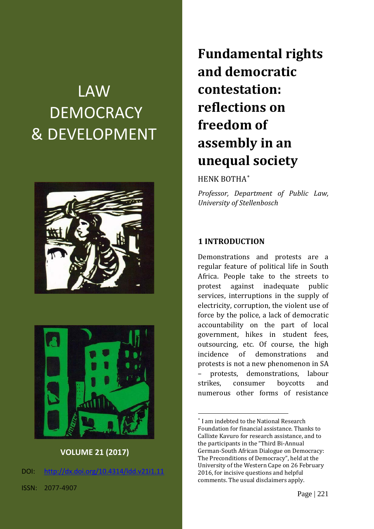# **LAW DEMOCRACY** & DEVELOPMENT





**VOLUME 21 (2017)**

<span id="page-0-0"></span>DOI: [http://dx.doi.org/10.4314/ldd.v21i1.1](http://dx.doi.org/10.4314/ldd.v21i1.)1

ISSN: 2077-4907

## **Fundamental rights and democratic contestation: reflections on freedom of assembly in an unequal society**

#### HENK BOTHA[∗](#page-0-0)

*Professor, Department of Public Law, University of Stellenbosch*

#### **1 INTRODUCTION**

-

Demonstrations and protests are a regular feature of political life in South Africa. People take to the streets to protest against inadequate public services, interruptions in the supply of electricity, corruption, the violent use of force by the police, a lack of democratic accountability on the part of local government, hikes in student fees, outsourcing, etc. Of course, the high<br>incidence of demonstrations and demonstrations protests is not a new phenomenon in SA protests, demonstrations, labour<br>kes, consumer boycotts and strikes, consumer boycotts and numerous other forms of resistance

<sup>∗</sup> I am indebted to the National Research Foundation for financial assistance. Thanks to Callixte Kavuro for research assistance, and to the participants in the "Third Bi-Annual German-South African Dialogue on Democracy: The Preconditions of Democracy", held at the University of the Western Cape on 26 February 2016, for incisive questions and helpful comments. The usual disclaimers apply.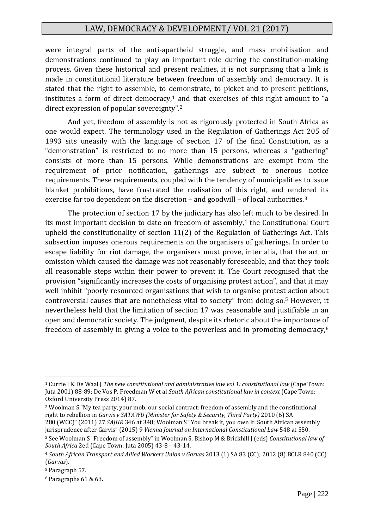were integral parts of the anti-apartheid struggle, and mass mobilisation and demonstrations continued to play an important role during the constitution-making process. Given these historical and present realities, it is not surprising that a link is made in constitutional literature between freedom of assembly and democracy. It is stated that the right to assemble, to demonstrate, to picket and to present petitions, institutes a form of direct democracy, $1$  and that exercises of this right amount to "a direct expression of popular sovereignty".[2](#page-1-1)

And yet, freedom of assembly is not as rigorously protected in South Africa as one would expect. The terminology used in the Regulation of Gatherings Act 205 of 1993 sits uneasily with the language of section 17 of the final Constitution, as a "demonstration" is restricted to no more than 15 persons, whereas a "gathering" consists of more than 15 persons. While demonstrations are exempt from the requirement of prior notification, gatherings are subject to onerous notice requirements. These requirements, coupled with the tendency of municipalities to issue blanket prohibitions, have frustrated the realisation of this right, and rendered its exercise far too dependent on the discretion – and goodwill – of local authorities.[3](#page-1-2)

The protection of section 17 by the judiciary has also left much to be desired. In its most important decision to date on freedom of assembly,<sup>[4](#page-1-3)</sup> the Constitutional Court upheld the constitutionality of section 11(2) of the Regulation of Gatherings Act. This subsection imposes onerous requirements on the organisers of gatherings. In order to escape liability for riot damage, the organisers must prove, inter alia, that the act or omission which caused the damage was not reasonably foreseeable, and that they took all reasonable steps within their power to prevent it. The Court recognised that the provision "significantly increases the costs of organising protest action", and that it may well inhibit "poorly resourced organisations that wish to organise protest action about controversial causes that are nonetheless vital to society" from doing so[.5](#page-1-4) However, it nevertheless held that the limitation of section 17 was reasonable and justifiable in an open and democratic society. The judgment, despite its rhetoric about the importance of freedom of assembly in giving a voice to the powerless and in promoting democracy,[6](#page-1-5)

<span id="page-1-1"></span><sup>2</sup> Woolman S "My tea party, your mob, our social contract: freedom of assembly and the constitutional right to rebellion in *Garvis v SATAWU (Minister for Safety & Security, Third Party)* [2010 \(6\) SA](http://www.saflii.org/cgi-bin/LawCite?cit=2010%20%286%29%20SA%20280)  [280](http://www.saflii.org/cgi-bin/LawCite?cit=2010%20%286%29%20SA%20280) (WCC)" [\(2011\) 27](http://www.saflii.org/cgi-bin/LawCite?cit=%282011%29%2027%20SAJHR%20346) *[SAJHR](http://www.saflii.org/cgi-bin/LawCite?cit=%282011%29%2027%20SAJHR%20346)* 346 at 348; Woolman S "You break it, you own it: South African assembly

<span id="page-1-0"></span><sup>1</sup> Currie I & De Waal J *The new constitutional and administrative law vol 1: constitutional law* (Cape Town: Juta 2001) 88-89; De Vos P, Freedman W et al *South African constitutional law in context* (Cape Town: Oxford University Press 2014) 87. -

<span id="page-1-2"></span>jurisprudence after Garvis" (2015) 9 *Vienna Journal on International Constitutional Law* 548 at 550. <sup>3</sup> See Woolman S "Freedom of assembly" in Woolman S, Bishop M & Brickhill J (eds) *Constitutional law of South Africa* 2ed (Cape Town: Juta 2005) 43-8 – 43-14.

<span id="page-1-3"></span><sup>4</sup> *South African Transport and Allied Workers Union v Garvas* 2013 (1) SA 83 (CC); 2012 (8) BCLR 840 (CC) (*Garvas*).

<span id="page-1-4"></span><sup>5</sup> Paragraph 57.

<span id="page-1-5"></span><sup>6</sup> Paragraphs 61 & 63.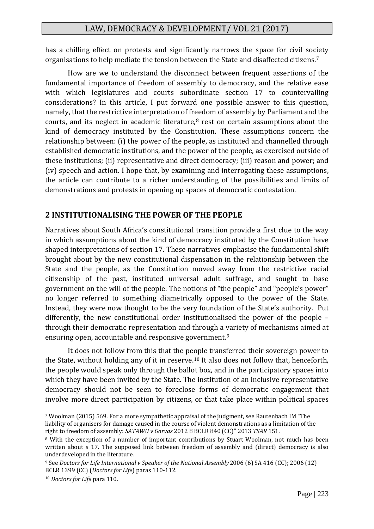has a chilling effect on protests and significantly narrows the space for civil society organisations to help mediate the tension between the State and disaffected citizens.[7](#page-2-0)

How are we to understand the disconnect between frequent assertions of the fundamental importance of freedom of assembly to democracy, and the relative ease with which legislatures and courts subordinate section 17 to countervailing considerations? In this article, I put forward one possible answer to this question, namely, that the restrictive interpretation of fr[ee](#page-2-1)dom of assembly by Parliament and the courts, and its neglect in academic literature, $8$  rest on certain assumptions about the kind of democracy instituted by the Constitution. These assumptions concern the relationship between: (i) the power of the people, as instituted and channelled through established democratic institutions, and the power of the people, as exercised outside of these institutions; (ii) representative and direct democracy; (iii) reason and power; and (iv) speech and action. I hope that, by examining and interrogating these assumptions, the article can contribute to a richer understanding of the possibilities and limits of demonstrations and protests in opening up spaces of democratic contestation.

#### **2 INSTITUTIONALISING THE POWER OF THE PEOPLE**

Narratives about South Africa's constitutional transition provide a first clue to the way in which assumptions about the kind of democracy instituted by the Constitution have shaped interpretations of section 17. These narratives emphasise the fundamental shift brought about by the new constitutional dispensation in the relationship between the State and the people, as the Constitution moved away from the restrictive racial citizenship of the past, instituted universal adult suffrage, and sought to base government on the will of the people. The notions of "the people" and "people's power" no longer referred to something diametrically opposed to the power of the State. Instead, they were now thought to be the very foundation of the State's authority. Put differently, the new constitutional order institutionalised the power of the people – through their democratic representation and through a variety of mechanisms aimed at ensuring open, accountable and responsive government.[9](#page-2-2)

It does not follow from this that the people transferred their sovereign power to the State, without holding any of it in reserve.[10](#page-2-3) It also does not follow that, henceforth, the people would speak only through the ballot box, and in the participatory spaces into which they have been invited by the State. The institution of an inclusive representative democracy should not be seen to foreclose forms of democratic engagement that involve more direct participation by citizens, or that take place within political spaces

<span id="page-2-0"></span><sup>7</sup> Woolman (2015) 569. For a more sympathetic appraisal of the judgment, see Rautenbach IM "The liability of organisers for damage caused in the course of violent demonstrations as a limitation of the right to freedom of assembly: *SATAWU v Garvas* 2012 8 BCLR 840 (CC)" 2013 *TSAR* 151. -

<span id="page-2-1"></span><sup>8</sup> With the exception of a number of important contributions by Stuart Woolman, not much has been written about s 17. The supposed link between freedom of assembly and (direct) democracy is also underdeveloped in the literature.

<span id="page-2-2"></span><sup>9</sup> See *Doctors for Life International v Speaker of the National Assembly* 2006 (6) SA 416 (CC); 2006 (12) BCLR 1399 (CC) (*Doctors for Life*) paras 110-112.

<span id="page-2-3"></span><sup>10</sup> *Doctors for Life* para 110.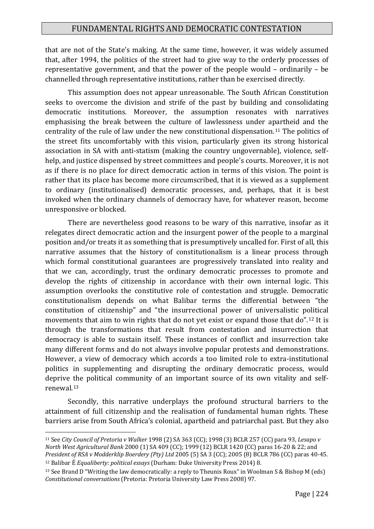that are not of the State's making. At the same time, however, it was widely assumed that, after 1994, the politics of the street had to give way to the orderly processes of representative government, and that the power of the people would – ordinarily – be channelled through representative institutions, rather than be exercised directly.

This assumption does not appear unreasonable. The South African Constitution seeks to overcome the division and strife of the past by building and consolidating democratic institutions. Moreover, the assumption resonates with narratives emphasising the break between the culture of lawlessness under apartheid and the centrality of the rule of law under the new constitutional dispensation.[11](#page-3-0) The politics of the street fits uncomfortably with this vision, particularly given its strong historical association in SA with anti-statism (making the country ungovernable), violence, selfhelp, and justice dispensed by street committees and people's courts. Moreover, it is not as if there is no place for direct democratic action in terms of this vision. The point is rather that its place has become more circumscribed, that it is viewed as a supplement to ordinary (institutionalised) democratic processes, and, perhaps, that it is best invoked when the ordinary channels of democracy have, for whatever reason, become unresponsive or blocked.

There are nevertheless good reasons to be wary of this narrative, insofar as it relegates direct democratic action and the insurgent power of the people to a marginal position and/or treats it as something that is presumptively uncalled for. First of all, this narrative assumes that the history of constitutionalism is a linear process through which formal constitutional guarantees are progressively translated into reality and that we can, accordingly, trust the ordinary democratic processes to promote and develop the rights of citizenship in accordance with their own internal logic. This assumption overlooks the constitutive role of contestation and struggle. Democratic constitutionalism depends on what Balibar terms the differential between "the constitution of citizenship" and "the insurrectional power of universalistic political movements that aim to win rights that do not yet exist or expand those that do".[12](#page-3-1) It is through the transformations that result from contestation and insurrection that democracy is able to sustain itself. These instances of conflict and insurrection take many different forms and do not always involve popular protests and demonstrations. However, a view of democracy which accords a too limited role to extra-institutional politics in supplementing and disrupting the ordinary democratic process, would deprive the political community of an important source of its own vitality and selfrenewal.[13](#page-3-2)

Secondly, this narrative underplays the profound structural barriers to the attainment of full citizenship and the realisation of fundamental human rights. These barriers arise from South Africa's colonial, apartheid and patriarchal past. But they also

<span id="page-3-0"></span><sup>11</sup> See *City Council of Pretoria v Walker* 1998 (2) SA 363 (CC); 1998 (3) BCLR 257 (CC) para 93, *Lesapo v North West Agricultural Bank* 2000 (1) SA 409 (CC); 1999 (12) BCLR 1420 (CC) paras 16-20 & 22; and *President of RSA v Modderklip Boerdery (Pty) Ltd* 2005 (5) SA 3 (CC); 2005 (8) BCLR 786 (CC) paras 40-45. <sup>12</sup> Balibar É *Equaliberty: political essays* (Durham: Duke University Press 2014) 8.

<span id="page-3-2"></span><span id="page-3-1"></span><sup>13</sup> See Brand D "Writing the law democratically: a reply to Theunis Roux" in Woolman S & Bishop M (eds) *Constitutional conversations* (Pretoria: Pretoria University Law Press 2008) 97.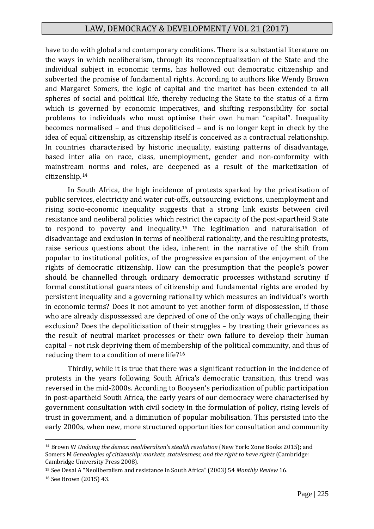have to do with global and contemporary conditions. There is a substantial literature on the ways in which neoliberalism, through its reconceptualization of the State and the individual subject in economic terms, has hollowed out democratic citizenship and subverted the promise of fundamental rights. According to authors like Wendy Brown and Margaret Somers, the logic of capital and the market has been extended to all spheres of social and political life, thereby reducing the State to the status of a firm which is governed by economic imperatives, and shifting responsibility for social problems to individuals who must optimise their own human "capital". Inequality becomes normalised – and thus depoliticised – and is no longer kept in check by the idea of equal citizenship, as citizenship itself is conceived as a contractual relationship. In countries characterised by historic inequality, existing patterns of disadvantage, based inter alia on race, class, unemployment, gender and non-conformity with mainstream norms and roles, are deepened as a result of the marketization of citizenship.[14](#page-4-0)

In South Africa, the high incidence of protests sparked by the privatisation of public services, electricity and water cut-offs, outsourcing, evictions, unemployment and rising socio-economic inequality suggests that a strong link exists between civil resistance and neoliberal policies which restrict the capacity of the post-apartheid State to respond to poverty and inequality.[15](#page-4-1) The legitimation and naturalisation of disadvantage and exclusion in terms of neoliberal rationality, and the resulting protests, raise serious questions about the idea, inherent in the narrative of the shift from popular to institutional politics, of the progressive expansion of the enjoyment of the rights of democratic citizenship. How can the presumption that the people's power should be channelled through ordinary democratic processes withstand scrutiny if formal constitutional guarantees of citizenship and fundamental rights are eroded by persistent inequality and a governing rationality which measures an individual's worth in economic terms? Does it not amount to yet another form of dispossession, if those who are already dispossessed are deprived of one of the only ways of challenging their exclusion? Does the depoliticisation of their struggles – by treating their grievances as the result of neutral market processes or their own failure to develop their human capital – not risk depriving them of membership of the political community, and thus of reducing them to a condition of mere life?[16](#page-4-2)

Thirdly, while it is true that there was a significant reduction in the incidence of protests in the years following South Africa's democratic transition, this trend was reversed in the mid-2000s. According to Booysen's periodization of public participation in post-apartheid South Africa, the early years of our democracy were characterised by government consultation with civil society in the formulation of policy, rising levels of trust in government, and a diminution of popular mobilisation. This persisted into the early 2000s, when new, more structured opportunities for consultation and community

<u>.</u>

<span id="page-4-0"></span><sup>14</sup> Brown W *Undoing the demos: neoliberalism's stealth revolution* (New York: Zone Books 2015); and Somers M *Genealogies of citizenship: markets, statelessness, and the right to have rights* (Cambridge: Cambridge University Press 2008).

<span id="page-4-2"></span><span id="page-4-1"></span><sup>15</sup> See Desai A "Neoliberalism and resistance in South Africa" (2003) 54 *Monthly Review* 16. <sup>16</sup> See Brown (2015) 43.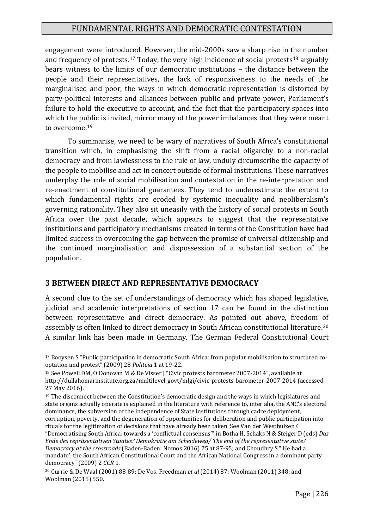engagement were introduced. However, the mid-2000s saw a sharp rise in the number and frequency of protests.<sup>[17](#page-5-0)</sup> Today, the very high incidence of social protests<sup>18</sup> arguably bears witness to the limits of our democratic institutions – the distance between the people and their representatives, the lack of responsiveness to the needs of the marginalised and poor, the ways in which democratic representation is distorted by party-political interests and alliances between public and private power, Parliament's failure to hold the executive to account, and the fact that the participatory spaces into which the public is invited, mirror many of the power imbalances that they were meant to overcome.[19](#page-5-2)

To summarise, we need to be wary of narratives of South Africa's constitutional transition which, in emphasising the shift from a racial oligarchy to a non-racial democracy and from lawlessness to the rule of law, unduly circumscribe the capacity of the people to mobilise and act in concert outside of formal institutions. These narratives underplay the role of social mobilisation and contestation in the re-interpretation and re-enactment of constitutional guarantees. They tend to underestimate the extent to which fundamental rights are eroded by systemic inequality and neoliberalism's governing rationality. They also sit uneasily with the history of social protests in South Africa over the past decade, which appears to suggest that the representative institutions and participatory mechanisms created in terms of the Constitution have had limited success in overcoming the gap between the promise of universal citizenship and the continued marginalisation and dispossession of a substantial section of the population.

#### **3 BETWEEN DIRECT AND REPRESENTATIVE DEMOCRACY**

-

A second clue to the set of understandings of democracy which has shaped legislative, judicial and academic interpretations of section 17 can be found in the distinction between representative and direct democracy. As pointed out above, freedom of assembly is often linked to direct democracy in South African constitutional literature.[20](#page-5-3) A similar link has been made in Germany. The German Federal Constitutional Court

<span id="page-5-0"></span><sup>17</sup> Booysen S "Public participation in democratic South Africa: from popular mobilisation to structured cooptation and protest" (2009) 28 *Politeia* 1 at 19-22.

<span id="page-5-1"></span><sup>&</sup>lt;sup>18</sup> See Powell DM, O'Donovan M & De Visser J "Civic protests barometer 2007-2014", available at http://dullahomarinstitute.org.za/multilevel-govt/mlgi/civic-protests-barometer-2007-2014 (accessed 27 May 2016).

<span id="page-5-2"></span><sup>&</sup>lt;sup>19</sup> The disconnect between the Constitution's democratic design and the ways in which legislatures and state organs actually operate is explained in the literature with reference to, inter alia, the ANC's electoral dominance, the subversion of the independence of State institutions through cadre deployment, corruption, poverty, and the degeneration of opportunities for deliberation and public participation into rituals for the legitimation of decisions that have already been taken. See Van der Westhuizen C

<sup>&</sup>quot;Democratising South Africa: towards a 'conflictual consensus'" in Botha H, Schaks N & Steiger D (eds) *Das Ende des repräsentativen Staates? Demokratie am Scheideweg/ The end of the representative state? Democracy at the crossroads* (Baden-Baden: Nomos 2016) 75 at 87-95; and Choudhry S "'He had a mandate': the South African Constitutional Court and the African National Congress in a dominant party democracy" (2009) 2 *CCR* 1.

<span id="page-5-3"></span><sup>20</sup> Currie & De Waal (2001) 88-89; De Vos, Freedman *et al* (2014) 87; Woolman (2011) 348; and Woolman (2015) 550.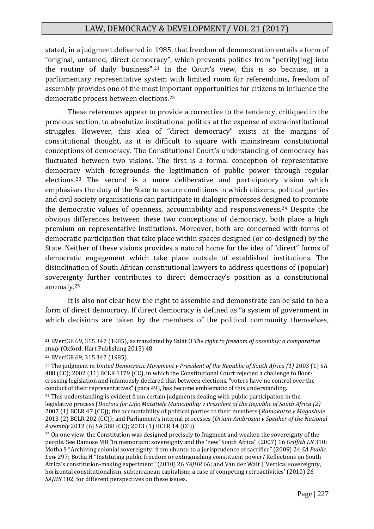stated, in a judgment delivered in 1985, that freedom of demonstration entails a form of "original, untamed, direct democracy", which prevents politics from "petrify[ing] into the routine of daily business".[21](#page-6-0) In the Court's view, this is so because, in a parliamentary representative system with limited room for referendums, freedom of assembly provides one of the most important opportunities for citizens to influence the democratic process between elections.[22](#page-6-1)

These references appear to provide a corrective to the tendency, critiqued in the previous section, to absolutize institutional politics at the expense of extra-institutional struggles. However, this idea of "direct democracy" exists at the margins of constitutional thought, as it is difficult to square with mainstream constitutional conceptions of democracy. The Constitutional Court's understanding of democracy has fluctuated between two visions. The first is a formal conception of representative democracy which foregrounds the legitimation of public power through regular elections.[23](#page-6-2) The second is a more deliberative and participatory vision which emphasises the duty of the State to secure conditions in which citizens, political parties and civil society organisations can participate in dialogic processes designed to promote the democratic values of openness, accountability and responsiveness.[24](#page-6-3) Despite the obvious differences between these two conceptions of democracy, both place a high premium on representative institutions. Moreover, both are concerned with forms of democratic participation that take place within spaces designed (or co-designed) by the State. Neither of these visions provides a natural home for the idea of "direct" forms of democratic engagement which take place outside of established institutions. The disinclination of South African constitutional lawyers to address questions of (popular) sovereignty further contributes to direct democracy's position as a constitutional anomaly.[25](#page-6-4)

It is also not clear how the right to assemble and demonstrate can be said to be a form of direct democracy. If direct democracy is defined as "a system of government in which decisions are taken by the members of the political community themselves,

<span id="page-6-0"></span><sup>21</sup> BVerfGE 69, 315 347 (1985), as translated by Salát O *The right to freedom of assembly: a comparative study* (Oxford: Hart Publishing 2015) 48. -

<span id="page-6-1"></span><sup>22</sup> BVerfGE 69, 315 347 (1985).

<span id="page-6-2"></span><sup>23</sup> The judgment in *United Democratic Movement v President of the Republic of South Africa (1)* 2003 (1) SA 488 (CC); 2002 (11) BCLR 1179 (CC), in which the Constitutional Court rejected a challenge to floorcrossing legislation and infamously declared that between elections, "voters have no control over the conduct of their representatives" (para 49), has become emblematic of this understanding.

<span id="page-6-3"></span><sup>&</sup>lt;sup>24</sup> This understanding is evident from certain judgments dealing with public participation in the legislative process (*Doctors for Life*; *Matatiele Municipality v President of the Republic of South Africa (2)*  2007 (1) BCLR 47 (CC)); the accountability of political parties to their members (*Ramakatsa v Magashule* 2013 (2) BCLR 202 (CC)); and Parliament's internal processes (*Oriani-Ambrosini v Speaker of the National Assembly* 2012 (6) SA 588 (CC); 2013 (1) BCLR 14 (CC)).

<span id="page-6-4"></span><sup>&</sup>lt;sup>25</sup> On one view, the Constitution was designed precisely to fragment and weaken the sovereignty of the people. See Ramose MB "In memoriam: sovereignty and the 'new' South Africa" (2007) 16 *Griffith LR* 310; Motha S "Archiving colonial sovereignty: from ubuntu to a jurisprudence of sacrifice" (2009) 24 *SA Public Law* 297; Botha H "Instituting public freedom or extinguishing constituent power? Reflections on South Africa's constitution-making experiment" (2010) 26 *SAJHR* 66; and Van der Walt J 'Vertical sovereignty, horizontal constitutionalism, subterranean capitalism: a case of competing retroactivities' (2010) 26 *SAJHR* 102, for different perspectives on these issues.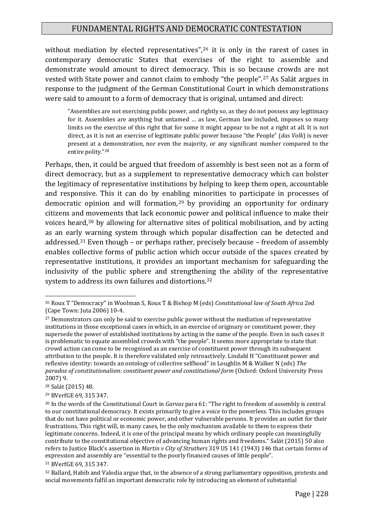without mediation by elected representatives",<sup>[26](#page-7-0)</sup> it is only in the rarest of cases in contemporary democratic States that exercises of the right to assemble and demonstrate would amount to direct democracy. This is so because crowds are not vested with State power and cannot claim to embody "the people".[27](#page-7-1) As Salát argues in response to the judgment of the German Constitutional Court in which demonstrations were said to amount to a form of democracy that is original, untamed and direct:

"Assemblies are not exercising public power, and rightly so, as they do not possess any legitimacy for it. Assemblies are anything but untamed … as law, German law included, imposes so many limits on the exercise of this right that for some it might appear to be not a right at all. It is not direct, as it is not an exercise of legitimate public power because "the People" (*das Volk*) is never present at a demonstration, nor even the majority, or any significant number compared to the entire polity."[28](#page-7-2)

Perhaps, then, it could be argued that freedom of assembly is best seen not as a form of direct democracy, but as a supplement to representative democracy which can bolster the legitimacy of representative institutions by helping to keep them open, accountable and responsive. This it can do by enabling minorities to participate in processes of democratic opinion and will formation, $29$  by providing an opportunity for ordinary citizens and movements that lack economic power and political influence to make their voices heard,[30](#page-7-4) by allowing for alternative sites of political mobilisation, and by acting as an earl[y w](#page-7-5)arning system through which popular disaffection can be detected and addressed. <sup>31</sup> Even though – or perhaps rather, precisely because – freedom of assembly enables collective forms of public action which occur outside of the spaces created by representative institutions, it provides an important mechanism for safeguarding the inclusivity of the public sphere and strengthening the ability of the representative system to address its own failures and distortions.[32](#page-7-6)

<span id="page-7-0"></span><sup>26</sup> Roux T "Democracy" in Woolman S, Roux T & Bishop M (eds) *Constitutional law of South Africa* 2ed (Cape Town: Juta 2006) 10-4. -

<span id="page-7-1"></span><sup>&</sup>lt;sup>27</sup> Demonstrators can only be said to exercise public power without the mediation of representative institutions in those exceptional cases in which, in an exercise of originary or constituent power, they supersede the power of established institutions by acting in the name of the people. Even in such cases it is problematic to equate assembled crowds with "the people". It seems more appropriate to state that crowd action can come to be recognised as an exercise of constituent power through its subsequent attribution to the people. It is therefore validated only retroactively. Lindahl H "Constituent power and reflexive identity: towards an ontology of collective selfhood" in Loughlin M & Walker N (eds) *The paradox of constitutionalism: constituent power and constitutional form* (Oxford: Oxford University Press 2007) 9.

<span id="page-7-2"></span><sup>28</sup> Salát (2015) 48.

<span id="page-7-3"></span><sup>29</sup> BVerfGE 69, 315 347.

<span id="page-7-4"></span><sup>30</sup> In the words of the Constitutional Court in *Garvas* para 61: "The right to freedom of assembly is central to our constitutional democracy. It exists primarily to give a voice to the powerless. This includes groups that do not have political or economic power, and other vulnerable persons. It provides an outlet for their frustrations. This right will, in many cases, be the only mechanism available to them to express their legitimate concerns. Indeed, it is one of the principal means by which ordinary people can meaningfully contribute to the constitutional objective of advancing human rights and freedoms." Salát (2015) 50 also refers to Justice Black's assertion in *Martin v City of Struthers* 319 US 141 (1943) 146 that certain forms of expression and assembly are "essential to the poorly financed causes of little people".

<span id="page-7-5"></span><sup>31</sup> BVerfGE 69, 315 347.

<span id="page-7-6"></span><sup>32</sup> Ballard, Habib and Valodia argue that, in the absence of a strong parliamentary opposition, protests and social movements fulfil an important democratic role by introducing an element of substantial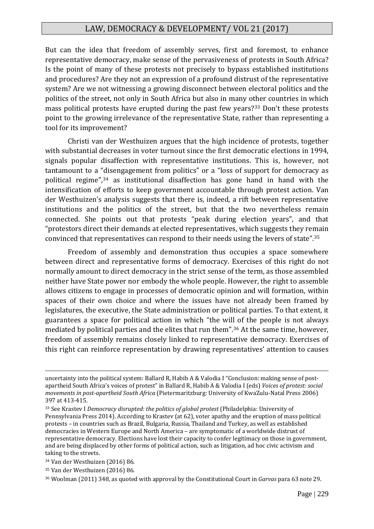But can the idea that freedom of assembly serves, first and foremost, to enhance representative democracy, make sense of the pervasiveness of protests in South Africa? Is the point of many of these protests not precisely to bypass established institutions and procedures? Are they not an expression of a profound distrust of the representative system? Are we not witnessing a growing disconnect between electoral politics and the politics of the street, not only in South Africa but also in many other countries in which mass political protests have erupted during the past few years?[33](#page-8-0) Don't these protests point to the growing irrelevance of the representative State, rather than representing a tool for its improvement?

Christi van der Westhuizen argues that the high incidence of protests, together with substantial decreases in voter turnout since the first democratic elections in 1994, signals popular disaffection with representative institutions. This is, however, not tantamount to a "disengagement from politics" or a "loss of support for democracy as political regime",[34](#page-8-1) as institutional disaffection has gone hand in hand with the intensification of efforts to keep government accountable through protest action. Van der Westhuizen's analysis suggests that there is, indeed, a rift between representative institutions and the politics of the street, but that the two nevertheless remain connected. She points out that protests "peak during election years", and that "protestors direct their demands at elected representatives, which suggests they remain convinced that representatives can respond to their needs using the levers of state".[35](#page-8-2)

Freedom of assembly and demonstration thus occupies a space somewhere between direct and representative forms of democracy. Exercises of this right do not normally amount to direct democracy in the strict sense of the term, as those assembled neither have State power nor embody the whole people. However, the right to assemble allows citizens to engage in processes of democratic opinion and will formation, within spaces of their own choice and where the issues have not already been framed by legislatures, the executive, the State administration or political parties. To that extent, it guarantees a space for political action in which "the will of the people is not always mediated by political parties and the elites that run them".[36](#page-8-3) At the same time, however, freedom of assembly remains closely linked to representative democracy. Exercises of this right can reinforce representation by drawing representatives' attention to causes

<u>.</u>

uncertainty into the political system: Ballard R, Habib A & Valodia I "Conclusion: making sense of postapartheid South Africa's voices of protest" in Ballard R, Habib A & Valodia I (eds) *Voices of protest: social movements in post-apartheid South Africa* (Pietermaritzburg: University of KwaZulu-Natal Press 2006) 397 at 413-415.

<span id="page-8-0"></span><sup>33</sup> See Krastev I *Democracy disrupted: the politics of global protest* (Philadelphia: University of Pennsylvania Press 2014). According to Krastev (at 62), voter apathy and the eruption of mass political protests – in countries such as Brazil, Bulgaria, Russia, Thailand and Turkey, as well as established democracies in Western Europe and North America – are symptomatic of a worldwide distrust of representative democracy. Elections have lost their capacity to confer legitimacy on those in government, and are being displaced by other forms of political action, such as litigation, ad hoc civic activism and taking to the streets.

<span id="page-8-1"></span><sup>34</sup> Van der Westhuizen (2016) 86.

<span id="page-8-2"></span><sup>35</sup> Van der Westhuizen (2016) 86.

<span id="page-8-3"></span><sup>36</sup> Woolman (2011) 348, as quoted with approval by the Constitutional Court in *Garvas* para 63 note 29.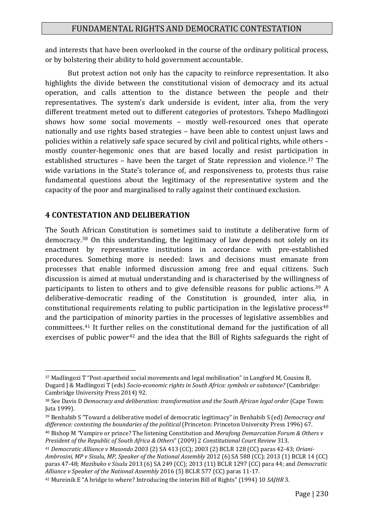and interests that have been overlooked in the course of the ordinary political process, or by bolstering their ability to hold government accountable.

But protest action not only has the capacity to reinforce representation. It also highlights the divide between the constitutional vision of democracy and its actual operation, and calls attention to the distance between the people and their representatives. The system's dark underside is evident, inter alia, from the very different treatment meted out to different categories of protestors. Tshepo Madlingozi shows how some social movements – mostly well-resourced ones that operate nationally and use rights based strategies – have been able to contest unjust laws and policies within a relatively safe space secured by civil and political rights, while others – mostly counter-hegemonic ones that are based locally and resist participation in established structures – have been the target of State repression and violence.[37](#page-9-0) The wide variations in the State's tolerance of, and responsiveness to, protests thus raise fundamental questions about the legitimacy of the representative system and the capacity of the poor and marginalised to rally against their continued exclusion.

#### **4 CONTESTATION AND DELIBERATION**

-

The South African Constitution is sometimes said to institute a deliberative form of democracy.[38](#page-9-1) On this understanding, the legitimacy of law depends not solely on its enactment by representative institutions in accordance with pre-established procedures. Something more is needed: laws and decisions must emanate from processes that enable informed discussion among free and equal citizens. Such discussion is aimed at mutual understanding and is characterised by the willingness of participants to listen to others and to give defensible reasons for public actions.[39](#page-9-2) A deliberative-democratic reading of the Constitution is grounded, inter alia, in constitutional requirements relating to public participation in the legislative process<sup>40</sup> and the participation of minority parties in the processes of legislative assemblies and committees.[41](#page-9-4) It further relies on the constitutional demand for the justification of all exercises of public power<sup>[42](#page-9-5)</sup> and the idea that the Bill of Rights safeguards the right of

<span id="page-9-0"></span><sup>37</sup> Madlingozi T "Post-apartheid social movements and legal mobilisation" in Langford M, Cousins B, Dugard J & Madlingozi T (eds) *Socio-economic rights in South Africa: symbols or substance?* (Cambridge: Cambridge University Press 2014) 92.

<span id="page-9-1"></span><sup>38</sup> See Davis D *Democracy and deliberation: transformation and the South African legal order* (Cape Town: Juta 1999).

<span id="page-9-2"></span><sup>39</sup> Benhabib S "Toward a deliberative model of democratic legitimacy" in Benhabib S (ed) *Democracy and difference: contesting the boundaries of the political* (Princeton: Princeton University Press 1996) 67.

<span id="page-9-3"></span><sup>40</sup> Bishop M *"*Vampire or prince? The listening Constitution and *Merafong Demarcation Forum & Others v President of the Republic of South Africa & Others*" (2009) 2 *Constitutional Court Review* 313.

<span id="page-9-4"></span><sup>41</sup> *Democratic Alliance v Masondo* 2003 (2) SA 413 (CC); 2003 (2) BCLR 128 (CC) paras 42-43; *Oriani-Ambrosini, MP v Sisulu, MP, Speaker of the National Assembly* 2012 (6) SA 588 (CC); 2013 (1) BCLR 14 (CC) paras 47-48; *Mazibuko v Sisulu* 2013 (6) SA 249 (CC); 2013 (11) BCLR 1297 (CC) para 44; and *Democratic Alliance v Speaker of the National Assembly* 2016 (5) BCLR 577 (CC) paras 11-17.

<span id="page-9-5"></span><sup>42</sup> Mureinik E "A bridge to where? Introducing the interim Bill of Rights" (1994) 10 *SAJHR* 3.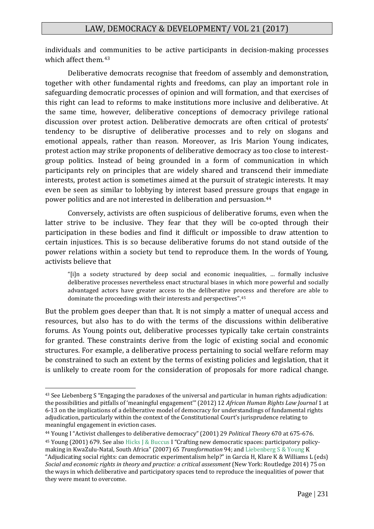individuals and communities to be active participants in decision-making processes which affect them.<sup>[43](#page-10-0)</sup>

Deliberative democrats recognise that freedom of assembly and demonstration, together with other fundamental rights and freedoms, can play an important role in safeguarding democratic processes of opinion and will formation, and that exercises of this right can lead to reforms to make institutions more inclusive and deliberative. At the same time, however, deliberative conceptions of democracy privilege rational discussion over protest action. Deliberative democrats are often critical of protests' tendency to be disruptive of deliberative processes and to rely on slogans and emotional appeals, rather than reason. Moreover, as Iris Marion Young indicates, protest action may strike proponents of deliberative democracy as too close to interestgroup politics. Instead of being grounded in a form of communication in which participants rely on principles that are widely shared and transcend their immediate interests, protest action is sometimes aimed at the pursuit of strategic interests. It may even be seen as similar to lobbying by interest based pressure groups that engage in power politics and are not interested in deliberation and persuasion.[44](#page-10-1)

Conversely, activists are often suspicious of deliberative forums, even when the latter strive to be inclusive. They fear that they will be co-opted through their participation in these bodies and find it difficult or impossible to draw attention to certain injustices. This is so because deliberative forums do not stand outside of the power relations within a society but tend to reproduce them. In the words of Young, activists believe that

"[i]n a society structured by deep social and economic inequalities, … formally inclusive deliberative processes nevertheless enact structural biases in which more powerful and socially advantaged actors have greater access to the deliberative pr[oce](#page-10-2)ss and therefore are able to dominate the proceedings with their interests and perspectives".45

But the problem goes deeper than that. It is not simply a matter of unequal access and resources, but also has to do with the terms of the discussions within deliberative forums. As Young points out, deliberative processes typically take certain constraints for granted. These constraints derive from the logic of existing social and economic structures. For example, a deliberative process pertaining to social welfare reform may be constrained to such an extent by the terms of existing policies and legislation, that it is unlikely to create room for the consideration of proposals for more radical change.

<span id="page-10-0"></span><sup>&</sup>lt;sup>43</sup> See Liebenberg S "Engaging the paradoxes of the universal and particular in human rights adiudication: the possibilities and pitfalls of 'meaningful engagement'" (2012) 12 *African Human Rights Law Journal* 1 at 6-13 on the implications of a deliberative model of democracy for understandings of fundamental rights adjudication, particularly within the context of the Constitutional Court's jurisprudence relating to meaningful engagement in eviction cases. <u>.</u>

<span id="page-10-2"></span><span id="page-10-1"></span><sup>44</sup> Young I "Activist challenges to deliberative democracy" (2001) 29 *Political Theory* 670 at 675-676. <sup>45</sup> Young (2001) 679. See also Hicks J & Buccus I "Crafting new democratic spaces: participatory policymaking in KwaZulu-Natal, South Africa" (2007) 65 *Transformation* 94; and Liebenberg S & Young K "Adjudicating social rights: can democratic experimentalism help?" in García H, Klare K & Williams L (eds) *Social and economic rights in theory and practice: a critical assessment* (New York: Routledge 2014) 75 on the ways in which deliberative and participatory spaces tend to reproduce the inequalities of power that they were meant to overcome.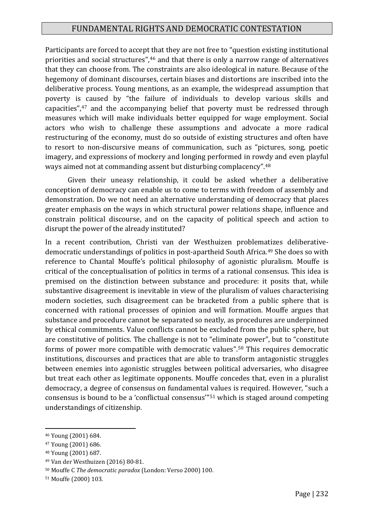Participants are forced to accept that they are not free to "question existing institutional priorities and social structures",[46](#page-11-0) and that there is only a narrow range of alternatives that they can choose from. The constraints are also ideological in nature. Because of the hegemony of dominant discourses, certain biases and distortions are inscribed into the deliberative process. Young mentions, as an example, the widespread assumption that poverty is caused by "the failure of individuals to develop various skills and capacities",[47](#page-11-1) and the accompanying belief that poverty must be redressed through measures which will make individuals better equipped for wage employment. Social actors who wish to challenge these assumptions and advocate a more radical restructuring of the economy, must do so outside of existing structures and often have to resort to non-discursive means of communication, such as "pictures, song, poetic imagery, and expressions of mockery and longing performed in rowdy and even playful ways aimed not at commanding assent but disturbing complacency".[48](#page-11-2)

Given their uneasy relationship, it could be asked whether a deliberative conception of democracy can enable us to come to terms with freedom of assembly and demonstration. Do we not need an alternative understanding of democracy that places greater emphasis on the ways in which structural power relations shape, influence and constrain political discourse, and on the capacity of political speech and action to disrupt the power of the already instituted?

In a recent contribution, Christi van der Westhuizen problematizes deliberativedemocratic understandings of politics in post-apartheid South Africa.[49](#page-11-3) She does so with reference to Chantal Mouffe's political philosophy of agonistic pluralism. Mouffe is critical of the conceptualisation of politics in terms of a rational consensus. This idea is premised on the distinction between substance and procedure: it posits that, while substantive disagreement is inevitable in view of the pluralism of values characterising modern societies, such disagreement can be bracketed from a public sphere that is concerned with rational processes of opinion and will formation. Mouffe argues that substance and procedure cannot be separated so neatly, as procedures are underpinned by ethical commitments. Value conflicts cannot be excluded from the public sphere, but are constitutive of politics. The challenge is not to "eliminate power", but to "constitute forms of power more compatible with democratic values".[50](#page-11-4) This requires democratic institutions, discourses and practices that are able to transform antagonistic struggles between enemies into agonistic struggles between political adversaries, who disagree but treat each other as legitimate opponents. Mouffe concedes that, even in a pluralist democracy, a degree of consensus on fundamental values is required. However, "such a consensus is bound to be a 'conflictual consensus'"[51](#page-11-5) which is staged around competing understandings of citizenship.

<span id="page-11-0"></span><sup>46</sup> Young (2001) 684.

<span id="page-11-1"></span><sup>47</sup> Young (2001) 686.

<span id="page-11-2"></span><sup>48</sup> Young (2001) 687.

<span id="page-11-3"></span><sup>49</sup> Van der Westhuizen (2016) 80-81.

<span id="page-11-4"></span><sup>50</sup> Mouffe C *The democratic paradox* (London: Verso 2000) 100.

<span id="page-11-5"></span><sup>51</sup> Mouffe (2000) 103.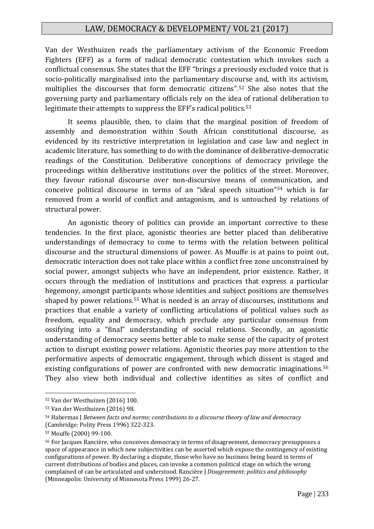Van der Westhuizen reads the parliamentary activism of the Economic Freedom Fighters (EFF) as a form of radical democratic contestation which invokes such a conflictual consensus. She states that the EFF "brings a previously excluded voice that is socio-politically marginalised into the parliamentary discourse and, with its activism, multiplies the discourses that form democratic citizens".[52](#page-12-0) She also notes that the governing party and parliamentary officials rely on the idea of rational deliberation to legitimate their attempts to suppress the EFF's radical politics.<sup>[53](#page-12-1)</sup>

It seems plausible, then, to claim that the marginal position of freedom of assembly and demonstration within South African constitutional discourse, as evidenced by its restrictive interpretation in legislation and case law and neglect in academic literature, has something to do with the dominance of deliberative-democratic readings of the Constitution. Deliberative conceptions of democracy privilege the proceedings within deliberative institutions over the politics of the street. Moreover, they favour rational discourse over non-discursive means of communication, and conceive political discourse in terms of an "ideal speech situation"[54](#page-12-2) which is far removed from a world of conflict and antagonism, and is untouched by relations of structural power.

An agonistic theory of politics can provide an important corrective to these tendencies. In the first place, agonistic theories are better placed than deliberative understandings of democracy to come to terms with the relation between political discourse and the structural dimensions of power. As Mouffe is at pains to point out, democratic interaction does not take place within a conflict free zone unconstrained by social power, amongst subjects who have an independent, prior existence. Rather, it occurs through the mediation of institutions and practices that express a particular hegemony, amongst participants whose identities and subject positions are themselves shaped by power relations.<sup>[55](#page-12-3)</sup> What is needed is an array of discourses, institutions and practices that enable a variety of conflicting articulations of political values such as freedom, equality and democracy, which preclude any particular consensus from ossifying into a "final" understanding of social relations. Secondly, an agonistic understanding of democracy seems better able to make sense of the capacity of protest action to disrupt existing power relations. Agonistic theories pay more attention to the performative aspects of democratic engagement, through which dissent is staged and existing configurations of power are confronted with new democratic imaginations.[56](#page-12-4) They also view both individual and collective identities as sites of conflict and

<span id="page-12-0"></span><sup>52</sup> Van der Westhuizen (2016) 100.

<span id="page-12-1"></span><sup>53</sup> Van der Westhuizen (2016) 98.

<span id="page-12-2"></span><sup>54</sup> Habermas J *Between facts and norms: contributions to a discourse theory of law and democracy* (Cambridge: Polity Press 1996) 322-323.

<span id="page-12-3"></span><sup>55</sup> Mouffe (2000) 99-100.

<span id="page-12-4"></span><sup>56</sup> For Jacques Rancière, who conceives democracy in terms of disagreement, democracy presupposes a space of appearance in which new subjectivities can be asserted which expose the contingency of existing configurations of power. By declaring a dispute, those who have no business being heard in terms of current distributions of bodies and places, can invoke a common political stage on which the wrong complained of can be articulated and understood. Rancière J *Disagreement: politics and philosophy* (Minneapolis: University of Minnesota Press 1999) 26-27.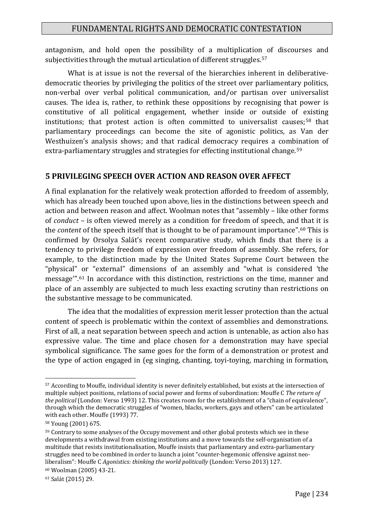antagonism, and hold open the possibility of a multiplication of discourses and subjectivities through the mutual articulation of different struggles.<sup>[57](#page-13-0)</sup>

What is at issue is not the reversal of the hierarchies inherent in deliberativedemocratic theories by privileging the politics of the street over parliamentary politics, non-verbal over verbal political communication, and/or partisan over universalist causes. The idea is, rather, to rethink these oppositions by recognising that power is constitutive of all political engagement, whether inside or outside of existing institutions; that protest action is often committed to universalist causes;<sup>[58](#page-13-1)</sup> that parliamentary proceedings can become the site of agonistic politics, as Van der Westhuizen's analysis shows; and that radical democracy requires a combination of extra-parliamentary struggles and strategies for effecting institutional change.[59](#page-13-2)

#### **5 PRIVILEGING SPEECH OVER ACTION AND REASON OVER AFFECT**

A final explanation for the relatively weak protection afforded to freedom of assembly, which has already been touched upon above, lies in the distinctions between speech and action and between reason and affect. Woolman notes that "assembly – like other forms of *conduct* – is often viewed merely as a condition for freedom of speech, and that it is the *content* of the speech itself that is thought to be of paramount importance".[60](#page-13-3) This is confirmed by Orsolya Salát's recent comparative study, which finds that there is a tendency to privilege freedom of expression over freedom of assembly. She refers, for example, to the distinction made by the United States Supreme Court between the "physical" or "external" dimensions of an assembly and "what is considered 'the message'".[61](#page-13-4) In accordance with this distinction, restrictions on the time, manner and place of an assembly are subjected to much less exacting scrutiny than restrictions on the substantive message to be communicated.

The idea that the modalities of expression merit lesser protection than the actual content of speech is problematic within the context of assemblies and demonstrations. First of all, a neat separation between speech and action is untenable, as action also has expressive value. The time and place chosen for a demonstration may have special symbolical significance. The same goes for the form of a demonstration or protest and the type of action engaged in (eg singing, chanting, toyi-toying, marching in formation,

<u>.</u>

<span id="page-13-0"></span><sup>57</sup> According to Mouffe, individual identity is never definitely established, but exists at the intersection of multiple subject positions, relations of social power and forms of subordination: Mouffe C *The return of the political* (London: Verso 1993) 12. This creates room for the establishment of a "chain of equivalence", through which the democratic struggles of "women, blacks, workers, gays and others" can be articulated with each other. Mouffe (1993) 77.

<span id="page-13-1"></span><sup>58</sup> Young (2001) 675.

<span id="page-13-2"></span><sup>59</sup> Contrary to some analyses of the Occupy movement and other global protests which see in these developments a withdrawal from existing institutions and a move towards the self-organisation of a multitude that resists institutionalisation, Mouffe insists that parliamentary and extra-parliamentary struggles need to be combined in order to launch a joint "counter-hegemonic offensive against neoliberalism": Mouffe C *Agonistics: thinking the world politically* (London: Verso 2013) 127.

<span id="page-13-3"></span><sup>60</sup> Woolman (2005) 43-21.

<span id="page-13-4"></span><sup>61</sup> Salát (2015) 29.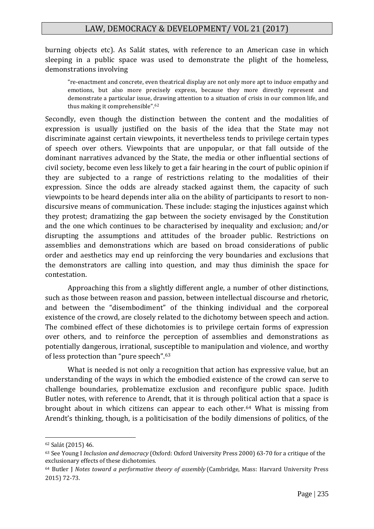burning objects etc). As Salát states, with reference to an American case in which sleeping in a public space was used to demonstrate the plight of the homeless, demonstrations involving

"re-enactment and concrete, even theatrical display are not only more apt to induce empathy and emotions, but also more precisely express, because they more directly represent and demonstrate a particular issue, drawing attention to a situation of crisis in our common life, and thus making it comprehensible".[62](#page-14-0)

Secondly, even though the distinction between the content and the modalities of expression is usually justified on the basis of the idea that the State may not discriminate against certain viewpoints, it nevertheless tends to privilege certain types of speech over others. Viewpoints that are unpopular, or that fall outside of the dominant narratives advanced by the State, the media or other influential sections of civil society, become even less likely to get a fair hearing in the court of public opinion if they are subjected to a range of restrictions relating to the modalities of their expression. Since the odds are already stacked against them, the capacity of such viewpoints to be heard depends inter alia on the ability of participants to resort to nondiscursive means of communication. These include: staging the injustices against which they protest; dramatizing the gap between the society envisaged by the Constitution and the one which continues to be characterised by inequality and exclusion; and/or disrupting the assumptions and attitudes of the broader public. Restrictions on assemblies and demonstrations which are based on broad considerations of public order and aesthetics may end up reinforcing the very boundaries and exclusions that the demonstrators are calling into question, and may thus diminish the space for contestation.

Approaching this from a slightly different angle, a number of other distinctions, such as those between reason and passion, between intellectual discourse and rhetoric, and between the "disembodiment" of the thinking individual and the corporeal existence of the crowd, are closely related to the dichotomy between speech and action. The combined effect of these dichotomies is to privilege certain forms of expression over others, and to reinforce the perception of assemblies and demonstrations as potentially dangerous, irrational, susceptible to manipulation and violence, and worthy of less protection than "pure speech".[63](#page-14-1)

What is needed is not only a recognition that action has expressive value, but an understanding of the ways in which the embodied existence of the crowd can serve to challenge boundaries, problematize exclusion and reconfigure public space. Judith Butler notes, with reference to Arendt, that it is through political action that a space is brought about in which citizens can appear to each other.[64](#page-14-2) What is missing from Arendt's thinking, though, is a politicisation of the bodily dimensions of politics, of the

<span id="page-14-0"></span><sup>62</sup> Salát (2015) 46.

<span id="page-14-1"></span><sup>63</sup> See Young I *Inclusion and democracy* (Oxford: Oxford University Press 2000) 63-70 for a critique of the exclusionary effects of these dichotomies.

<span id="page-14-2"></span><sup>64</sup> Butler J *Notes toward a performative theory of assembly* (Cambridge, Mass: Harvard University Press 2015) 72-73.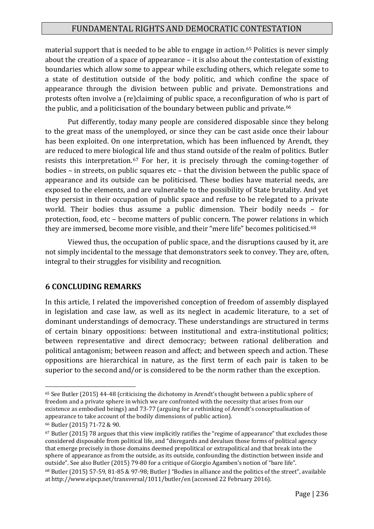material support that is needed to be able to engage in action.[65](#page-15-0) Politics is never simply about the creation of a space of appearance – it is also about the contestation of existing boundaries which allow some to appear while excluding others, which relegate some to a state of destitution outside of the body politic, and which confine the space of appearance through the division between public and private. Demonstrations and protests often involve a (re)claiming of public space, a reconfiguration of who is part of the public, and a politicisation of the boundary between public and private.<sup>[66](#page-15-1)</sup>

Put differently, today many people are considered disposable since they belong to the great mass of the unemployed, or since they can be cast aside once their labour has been exploited. On one interpretation, which has been influenced by Arendt, they are reduced to mere biological life and thus stand outside of the realm of politics. Butler resists this interpretation.[67](#page-15-2) For her, it is precisely through the coming-together of bodies – in streets, on public squares etc – that the division between the public space of appearance and its outside can be politicised. These bodies have material needs, are exposed to the elements, and are vulnerable to the possibility of State brutality. And yet they persist in their occupation of public space and refuse to be relegated to a private world. Their bodies thus assume a public dimension. Their bodily needs – for protection, food, etc – become matters of public concern. The power relations in which they are immersed, become more visible, and their "mere life" becomes politicised.[68](#page-15-3)

Viewed thus, the occupation of public space, and the disruptions caused by it, are not simply incidental to the message that demonstrators seek to convey. They are, often, integral to their struggles for visibility and recognition.

#### **6 CONCLUDING REMARKS**

In this article, I related the impoverished conception of freedom of assembly displayed in legislation and case law, as well as its neglect in academic literature, to a set of dominant understandings of democracy. These understandings are structured in terms of certain binary oppositions: between institutional and extra-institutional politics; between representative and direct democracy; between rational deliberation and political antagonism; between reason and affect; and between speech and action. These oppositions are hierarchical in nature, as the first term of each pair is taken to be superior to the second and/or is considered to be the norm rather than the exception.

<span id="page-15-0"></span><sup>65</sup> See Butler (2015) 44-48 (criticising the dichotomy in Arendt's thought between a public sphere of freedom and a private sphere in which we are confronted with the necessity that arises from our existence as embodied beings) and 73-77 (arguing for a rethinking of Arendt's conceptualisation of appearance to take account of the bodily dimensions of public action). -

<span id="page-15-1"></span><sup>66</sup> Butler (2015) 71-72 & 90.

<span id="page-15-2"></span><sup>67</sup> Butler (2015) 78 argues that this view implicitly ratifies the "regime of appearance" that excludes those considered disposable from political life, and "disregards and devalues those forms of political agency that emerge precisely in those domains deemed prepolitical or extrapolitical and that break into the sphere of appearance as from the outside, as its outside, confounding the distinction between inside and outside". See also Butler (2015) 79-80 for a critique of Giorgio Agamben's notion of "bare life".

<span id="page-15-3"></span><sup>68</sup> Butler (2015) 57-59, 81-85 & 97-98; Butler J "Bodies in alliance and the politics of the street", available at http://www.eipcp.net/transversal/1011/butler/en (accessed 22 February 2016).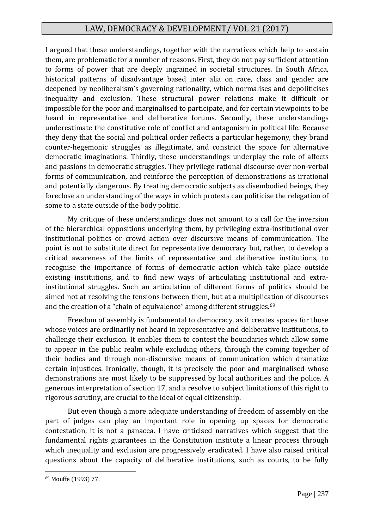I argued that these understandings, together with the narratives which help to sustain them, are problematic for a number of reasons. First, they do not pay sufficient attention to forms of power that are deeply ingrained in societal structures. In South Africa, historical patterns of disadvantage based inter alia on race, class and gender are deepened by neoliberalism's governing rationality, which normalises and depoliticises inequality and exclusion. These structural power relations make it difficult or impossible for the poor and marginalised to participate, and for certain viewpoints to be heard in representative and deliberative forums. Secondly, these understandings underestimate the constitutive role of conflict and antagonism in political life. Because they deny that the social and political order reflects a particular hegemony, they brand counter-hegemonic struggles as illegitimate, and constrict the space for alternative democratic imaginations. Thirdly, these understandings underplay the role of affects and passions in democratic struggles. They privilege rational discourse over non-verbal forms of communication, and reinforce the perception of demonstrations as irrational and potentially dangerous. By treating democratic subjects as disembodied beings, they foreclose an understanding of the ways in which protests can politicise the relegation of some to a state outside of the body politic.

My critique of these understandings does not amount to a call for the inversion of the hierarchical oppositions underlying them, by privileging extra-institutional over institutional politics or crowd action over discursive means of communication. The point is not to substitute direct for representative democracy but, rather, to develop a critical awareness of the limits of representative and deliberative institutions, to recognise the importance of forms of democratic action which take place outside existing institutions, and to find new ways of articulating institutional and extrainstitutional struggles. Such an articulation of different forms of politics should be aimed not at resolving the tensions between them, but at a multiplication of discourses and the creation of a "chain of equivalence" among different struggles.<sup>[69](#page-16-0)</sup>

Freedom of assembly is fundamental to democracy, as it creates spaces for those whose voices are ordinarily not heard in representative and deliberative institutions, to challenge their exclusion. It enables them to contest the boundaries which allow some to appear in the public realm while excluding others, through the coming together of their bodies and through non-discursive means of communication which dramatize certain injustices. Ironically, though, it is precisely the poor and marginalised whose demonstrations are most likely to be suppressed by local authorities and the police. A generous interpretation of section 17, and a resolve to subject limitations of this right to rigorous scrutiny, are crucial to the ideal of equal citizenship.

But even though a more adequate understanding of freedom of assembly on the part of judges can play an important role in opening up spaces for democratic contestation, it is not a panacea. I have criticised narratives which suggest that the fundamental rights guarantees in the Constitution institute a linear process through which inequality and exclusion are progressively eradicated. I have also raised critical questions about the capacity of deliberative institutions, such as courts, to be fully

<span id="page-16-0"></span><sup>69</sup> Mouffe (1993) 77.